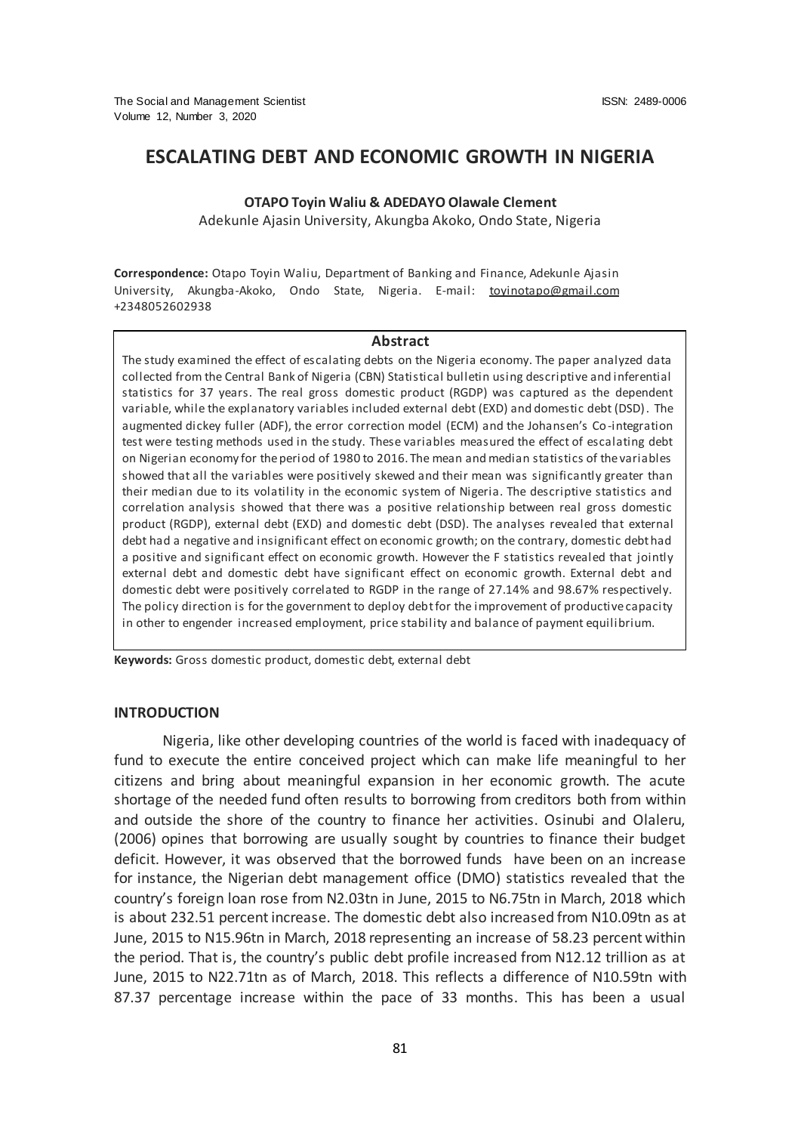# **ESCALATING DEBT AND ECONOMIC GROWTH IN NIGERIA**

### **OTAPO Toyin Waliu & ADEDAYO Olawale Clement**

Adekunle Ajasin University, Akungba Akoko, Ondo State, Nigeria

**Correspondence:** Otapo Toyin Waliu, Department of Banking and Finance, Adekunle Ajasin University, Akungba-Akoko, Ondo State, Nigeria. E-mail: [toyinotapo@gmail.com](mailto:toyinotapo@gmail.com)  +2348052602938

#### **Abstract**

The study examined the effect of escalating debts on the Nigeria economy. The paper analyzed data collected from the Central Bank of Nigeria (CBN) Statistical bulletin using descriptive and inferential statistics for 37 years. The real gross domestic product (RGDP) was captured as the dependent variable, while the explanatory variables included external debt (EXD) and domestic debt (DSD). The augmented dickey fuller (ADF), the error correction model (ECM) and the Johansen's Co-integration test were testing methods used in the study. These variables measured the effect of escalating debt on Nigerian economy for the period of 1980 to 2016. The mean and median statistics of the variables showed that all the variables were positively skewed and their mean was significantly greater than their median due to its volatility in the economic system of Nigeria. The descriptive statistics and correlation analysis showed that there was a positive relationship between real gross domestic product (RGDP), external debt (EXD) and domestic debt (DSD). The analyses revealed that external debt had a negative and insignificant effect on economic growth; on the contrary, domestic debt had a positive and significant effect on economic growth. However the F statistics revealed that jointly external debt and domestic debt have significant effect on economic growth. External debt and domestic debt were positively correlated to RGDP in the range of 27.14% and 98.67% respectively. The policy direction is for the government to deploy debt for the improvement of productive capacity in other to engender increased employment, price stability and balance of payment equilibrium.

**Keywords:** Gross domestic product, domestic debt, external debt

#### **INTRODUCTION**

Nigeria, like other developing countries of the world is faced with inadequacy of fund to execute the entire conceived project which can make life meaningful to her citizens and bring about meaningful expansion in her economic growth. The acute shortage of the needed fund often results to borrowing from creditors both from within and outside the shore of the country to finance her activities. Osinubi and Olaleru, (2006) opines that borrowing are usually sought by countries to finance their budget deficit. However, it was observed that the borrowed funds have been on an increase for instance, the Nigerian debt management office (DMO) statistics revealed that the country's foreign loan rose from N2.03tn in June, 2015 to N6.75tn in March, 2018 which is about 232.51 percent increase. The domestic debt also increased from N10.09tn as at June, 2015 to N15.96tn in March, 2018 representing an increase of 58.23 percent within the period. That is, the country's public debt profile increased from N12.12 trillion as at June, 2015 to N22.71tn as of March, 2018. This reflects a difference of N10.59tn with 87.37 percentage increase within the pace of 33 months. This has been a usual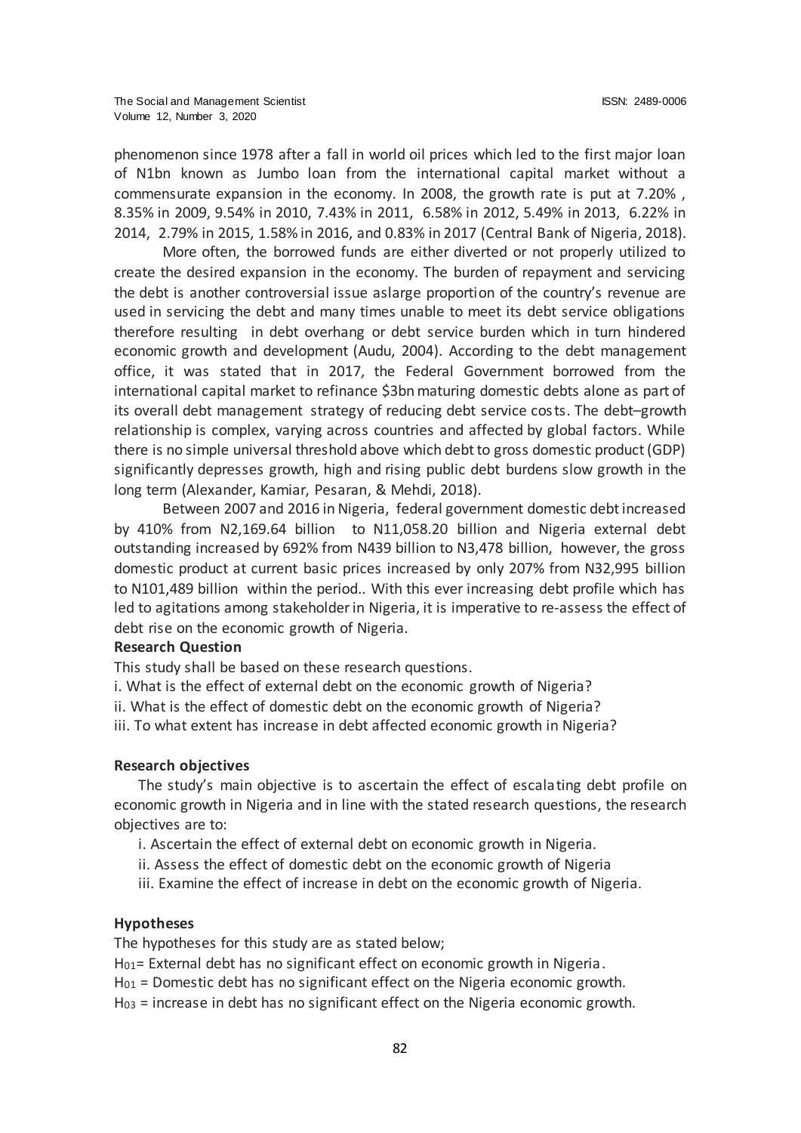phenomenon since 1978 after a fall in world oil prices which led to the first major loan of N1bn known as Jumbo loan from the international capital market without a commensurate expansion in the economy. In 2008, the growth rate is put at 7.20% , 8.35% in 2009, 9.54% in 2010, 7.43% in 2011, 6.58% in 2012, 5.49% in 2013, 6.22% in 2014, 2.79% in 2015, 1.58% in 2016, and 0.83% in 2017 (Central Bank of Nigeria, 2018).

More often, the borrowed funds are either diverted or not properly utilized to create the desired expansion in the economy. The burden of repayment and servicing the debt is another controversial issue aslarge proportion of the country's revenue are used in servicing the debt and many times unable to meet its debt service obligations therefore resulting in debt overhang or debt service burden which in turn hindered economic growth and development (Audu, 2004). According to the debt management office, it was stated that in 2017, the Federal Government borrowed from the international capital market to refinance \$3bn maturing domestic debts alone as part of its overall debt management strategy of reducing debt service costs. The debt–growth relationship is complex, varying across countries and affected by global factors. While there is no simple universal threshold above which debt to gross domestic product (GDP) significantly depresses growth, high and rising public debt burdens slow growth in the long term (Alexander, Kamiar, Pesaran, & Mehdi, 2018).

Between 2007 and 2016 in Nigeria, federal government domestic debt increased by 410% from N2,169.64 billion to N11,058.20 billion and Nigeria external debt outstanding increased by 692% from N439 billion to N3,478 billion, however, the gross domestic product at current basic prices increased by only 207% from N32,995 billion to N101,489 billion within the period.. With this ever increasing debt profile which has led to agitations among stakeholder in Nigeria, it is imperative to re-assess the effect of debt rise on the economic growth of Nigeria.

#### **Research Question**

This study shall be based on these research questions.

- i. What is the effect of external debt on the economic growth of Nigeria?
- ii. What is the effect of domestic debt on the economic growth of Nigeria?
- iii. To what extent has increase in debt affected economic growth in Nigeria?

### **Research objectives**

The study's main objective is to ascertain the effect of escalating debt profile on economic growth in Nigeria and in line with the stated research questions, the research objectives are to:

- i. Ascertain the effect of external debt on economic growth in Nigeria.
- ii. Assess the effect of domestic debt on the economic growth of Nigeria
- iii. Examine the effect of increase in debt on the economic growth of Nigeria.

### **Hypotheses**

The hypotheses for this study are as stated below;

- H<sub>01</sub>= External debt has no significant effect on economic growth in Nigeria.
- $H_{01}$  = Domestic debt has no significant effect on the Nigeria economic growth.
- $H<sub>03</sub>$  = increase in debt has no significant effect on the Nigeria economic growth.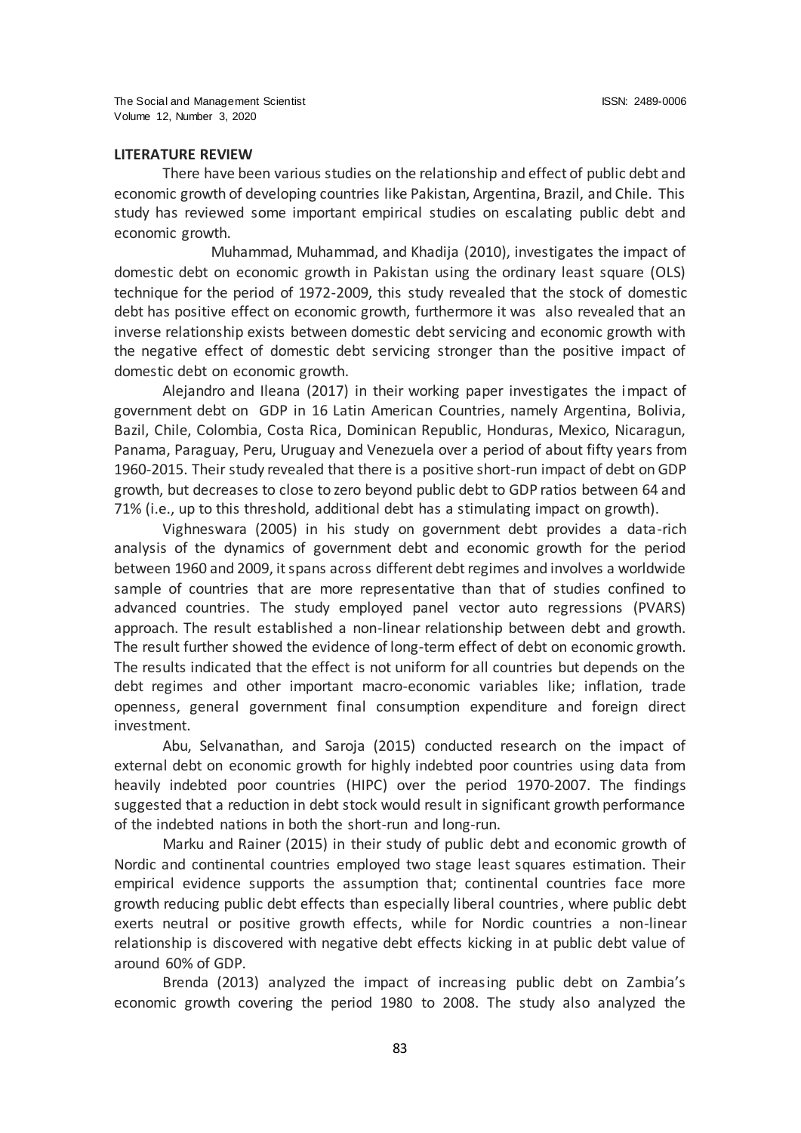# **LITERATURE REVIEW**

There have been various studies on the relationship and effect of public debt and economic growth of developing countries like Pakistan, Argentina, Brazil, and Chile. This study has reviewed some important empirical studies on escalating public debt and economic growth.

Muhammad, Muhammad, and Khadija (2010), investigates the impact of domestic debt on economic growth in Pakistan using the ordinary least square (OLS) technique for the period of 1972-2009, this study revealed that the stock of domestic debt has positive effect on economic growth, furthermore it was also revealed that an inverse relationship exists between domestic debt servicing and economic growth with the negative effect of domestic debt servicing stronger than the positive impact of domestic debt on economic growth.

Alejandro and Ileana (2017) in their working paper investigates the impact of government debt on GDP in 16 Latin American Countries, namely Argentina, Bolivia, Bazil, Chile, Colombia, Costa Rica, Dominican Republic, Honduras, Mexico, Nicaragun, Panama, Paraguay, Peru, Uruguay and Venezuela over a period of about fifty years from 1960-2015. Their study revealed that there is a positive short-run impact of debt on GDP growth, but decreases to close to zero beyond public debt to GDP ratios between 64 and 71% (i.e., up to this threshold, additional debt has a stimulating impact on growth).

Vighneswara (2005) in his study on government debt provides a data-rich analysis of the dynamics of government debt and economic growth for the period between 1960 and 2009, it spans across different debt regimes and involves a worldwide sample of countries that are more representative than that of studies confined to advanced countries. The study employed panel vector auto regressions (PVARS) approach. The result established a non-linear relationship between debt and growth. The result further showed the evidence of long-term effect of debt on economic growth. The results indicated that the effect is not uniform for all countries but depends on the debt regimes and other important macro-economic variables like; inflation, trade openness, general government final consumption expenditure and foreign direct investment.

Abu, Selvanathan, and Saroja (2015) conducted research on the impact of external debt on economic growth for highly indebted poor countries using data from heavily indebted poor countries (HIPC) over the period 1970-2007. The findings suggested that a reduction in debt stock would result in significant growth performance of the indebted nations in both the short-run and long-run.

Marku and Rainer (2015) in their study of public debt and economic growth of Nordic and continental countries employed two stage least squares estimation. Their empirical evidence supports the assumption that; continental countries face more growth reducing public debt effects than especially liberal countries, where public debt exerts neutral or positive growth effects, while for Nordic countries a non-linear relationship is discovered with negative debt effects kicking in at public debt value of around 60% of GDP.

Brenda (2013) analyzed the impact of increasing public debt on Zambia's economic growth covering the period 1980 to 2008. The study also analyzed the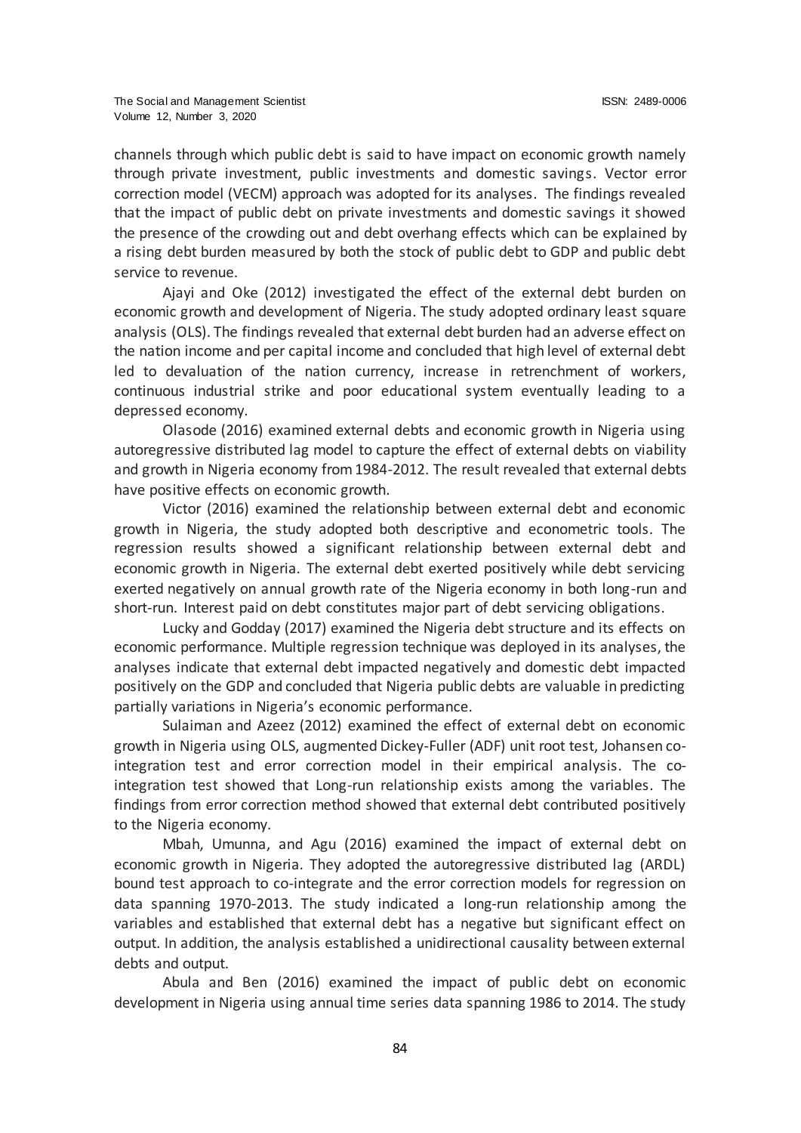channels through which public debt is said to have impact on economic growth namely through private investment, public investments and domestic savings. Vector error correction model (VECM) approach was adopted for its analyses. The findings revealed that the impact of public debt on private investments and domestic savings it showed the presence of the crowding out and debt overhang effects which can be explained by a rising debt burden measured by both the stock of public debt to GDP and public debt service to revenue.

Ajayi and Oke (2012) investigated the effect of the external debt burden on economic growth and development of Nigeria. The study adopted ordinary least square analysis (OLS). The findings revealed that external debt burden had an adverse effect on the nation income and per capital income and concluded that high level of external debt led to devaluation of the nation currency, increase in retrenchment of workers, continuous industrial strike and poor educational system eventually leading to a depressed economy.

Olasode (2016) examined external debts and economic growth in Nigeria using autoregressive distributed lag model to capture the effect of external debts on viability and growth in Nigeria economy from 1984-2012. The result revealed that external debts have positive effects on economic growth.

Victor (2016) examined the relationship between external debt and economic growth in Nigeria, the study adopted both descriptive and econometric tools. The regression results showed a significant relationship between external debt and economic growth in Nigeria. The external debt exerted positively while debt servicing exerted negatively on annual growth rate of the Nigeria economy in both long-run and short-run. Interest paid on debt constitutes major part of debt servicing obligations.

Lucky and Godday (2017) examined the Nigeria debt structure and its effects on economic performance. Multiple regression technique was deployed in its analyses, the analyses indicate that external debt impacted negatively and domestic debt impacted positively on the GDP and concluded that Nigeria public debts are valuable in predicting partially variations in Nigeria's economic performance.

Sulaiman and Azeez (2012) examined the effect of external debt on economic growth in Nigeria using OLS, augmented Dickey-Fuller (ADF) unit root test, Johansen cointegration test and error correction model in their empirical analysis. The cointegration test showed that Long-run relationship exists among the variables. The findings from error correction method showed that external debt contributed positively to the Nigeria economy.

Mbah, Umunna, and Agu (2016) examined the impact of external debt on economic growth in Nigeria. They adopted the autoregressive distributed lag (ARDL) bound test approach to co-integrate and the error correction models for regression on data spanning 1970-2013. The study indicated a long-run relationship among the variables and established that external debt has a negative but significant effect on output. In addition, the analysis established a unidirectional causality between external debts and output.

Abula and Ben (2016) examined the impact of public debt on economic development in Nigeria using annual time series data spanning 1986 to 2014. The study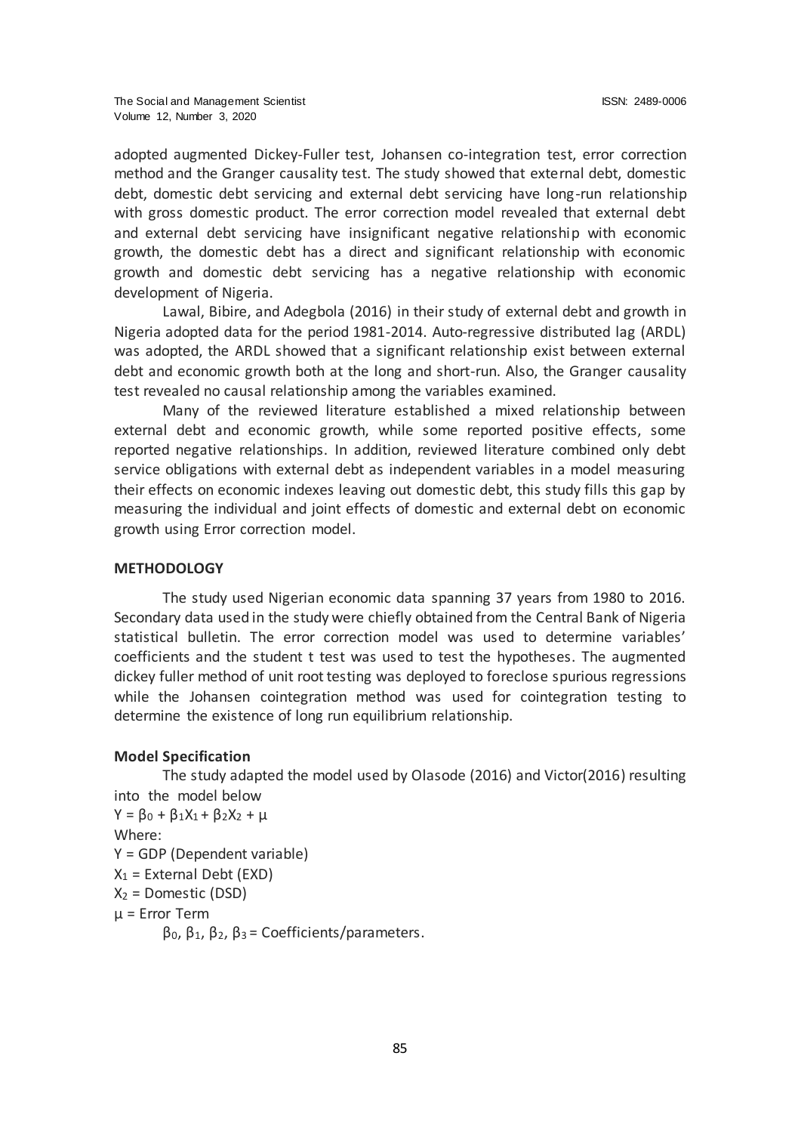adopted augmented Dickey-Fuller test, Johansen co-integration test, error correction method and the Granger causality test. The study showed that external debt, domestic debt, domestic debt servicing and external debt servicing have long-run relationship with gross domestic product. The error correction model revealed that external debt and external debt servicing have insignificant negative relationship with economic growth, the domestic debt has a direct and significant relationship with economic growth and domestic debt servicing has a negative relationship with economic development of Nigeria.

Lawal, Bibire, and Adegbola (2016) in their study of external debt and growth in Nigeria adopted data for the period 1981-2014. Auto-regressive distributed lag (ARDL) was adopted, the ARDL showed that a significant relationship exist between external debt and economic growth both at the long and short-run. Also, the Granger causality test revealed no causal relationship among the variables examined.

Many of the reviewed literature established a mixed relationship between external debt and economic growth, while some reported positive effects, some reported negative relationships. In addition, reviewed literature combined only debt service obligations with external debt as independent variables in a model measuring their effects on economic indexes leaving out domestic debt, this study fills this gap by measuring the individual and joint effects of domestic and external debt on economic growth using Error correction model.

### **METHODOLOGY**

The study used Nigerian economic data spanning 37 years from 1980 to 2016. Secondary data used in the study were chiefly obtained from the Central Bank of Nigeria statistical bulletin. The error correction model was used to determine variables' coefficients and the student t test was used to test the hypotheses. The augmented dickey fuller method of unit root testing was deployed to foreclose spurious regressions while the Johansen cointegration method was used for cointegration testing to determine the existence of long run equilibrium relationship.

### **Model Specification**

The study adapted the model used by Olasode (2016) and Victor(2016) resulting into the model below  $Y = \beta_0 + \beta_1 X_1 + \beta_2 X_2 + \mu$ 

Where:

Y = GDP (Dependent variable)

 $X_1$  = External Debt (EXD)

 $X_2$  = Domestic (DSD)

µ = Error Term

β0, β1, β2, β3 = Coefficients/parameters.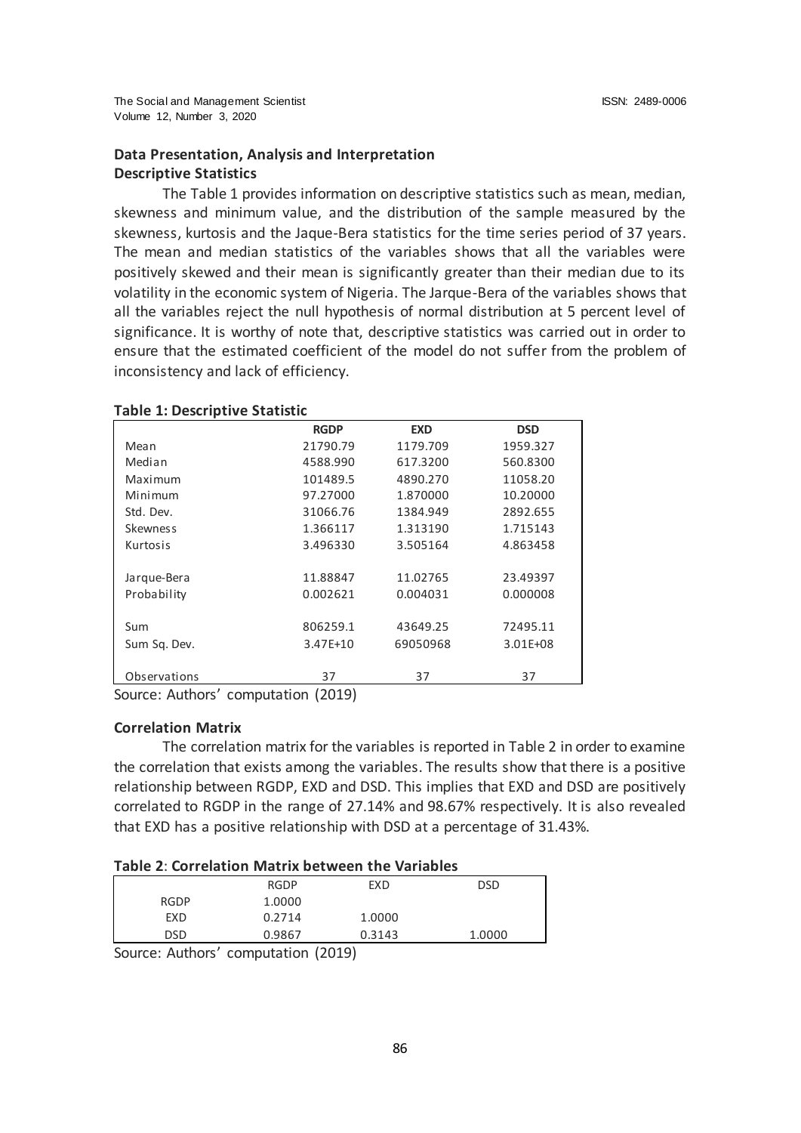# **Data Presentation, Analysis and Interpretation Descriptive Statistics**

The Table 1 provides information on descriptive statistics such as mean, median, skewness and minimum value, and the distribution of the sample measured by the skewness, kurtosis and the Jaque-Bera statistics for the time series period of 37 years. The mean and median statistics of the variables shows that all the variables were positively skewed and their mean is significantly greater than their median due to its volatility in the economic system of Nigeria. The Jarque-Bera of the variables shows that all the variables reject the null hypothesis of normal distribution at 5 percent level of significance. It is worthy of note that, descriptive statistics was carried out in order to ensure that the estimated coefficient of the model do not suffer from the problem of inconsistency and lack of efficiency.

|                 | <b>RGDP</b> | <b>EXD</b> | <b>DSD</b> |
|-----------------|-------------|------------|------------|
|                 |             |            |            |
| Mean            | 21790.79    | 1179.709   | 1959.327   |
| Median          | 4588.990    | 617.3200   | 560.8300   |
| Maximum         | 101489.5    | 4890.270   | 11058.20   |
| Minimum         | 97.27000    | 1.870000   | 10.20000   |
| Std. Dev.       | 31066.76    | 1384.949   | 2892.655   |
| <b>Skewness</b> | 1.366117    | 1.313190   | 1.715143   |
| Kurtosis        | 3.496330    | 3.505164   | 4.863458   |
|                 |             |            |            |
| Jarque-Bera     | 11.88847    | 11.02765   | 23.49397   |
| Probability     | 0.002621    | 0.004031   | 0.000008   |
|                 |             |            |            |
| Sum             | 806259.1    | 43649.25   | 72495.11   |
| Sum Sq. Dev.    | 3.47E+10    | 69050968   | 3.01E+08   |
|                 |             |            |            |
| Observations    | 37          | 37         | 37         |

### **Table 1: Descriptive Statistic**

Source: Authors' computation (2019)

### **Correlation Matrix**

The correlation matrix for the variables is reported in Table 2 in order to examine the correlation that exists among the variables. The results show that there is a positive relationship between RGDP, EXD and DSD. This implies that EXD and DSD are positively correlated to RGDP in the range of 27.14% and 98.67% respectively. It is also revealed that EXD has a positive relationship with DSD at a percentage of 31.43%.

# **Table 2**: **Correlation Matrix between the Variables**

| $\overline{\phantom{a}}$ | .           | .           | $1 - 2 - 1$ |        |
|--------------------------|-------------|-------------|-------------|--------|
|                          | <b>DSD</b>  | 0.9867      | 0.3143      | 1.0000 |
|                          | EXD         | 0.2714      | 1.0000      |        |
|                          | <b>RGDP</b> | 1.0000      |             |        |
|                          |             | <b>RGDP</b> | <b>EXD</b>  | DSD    |

Source: Authors' computation (2019)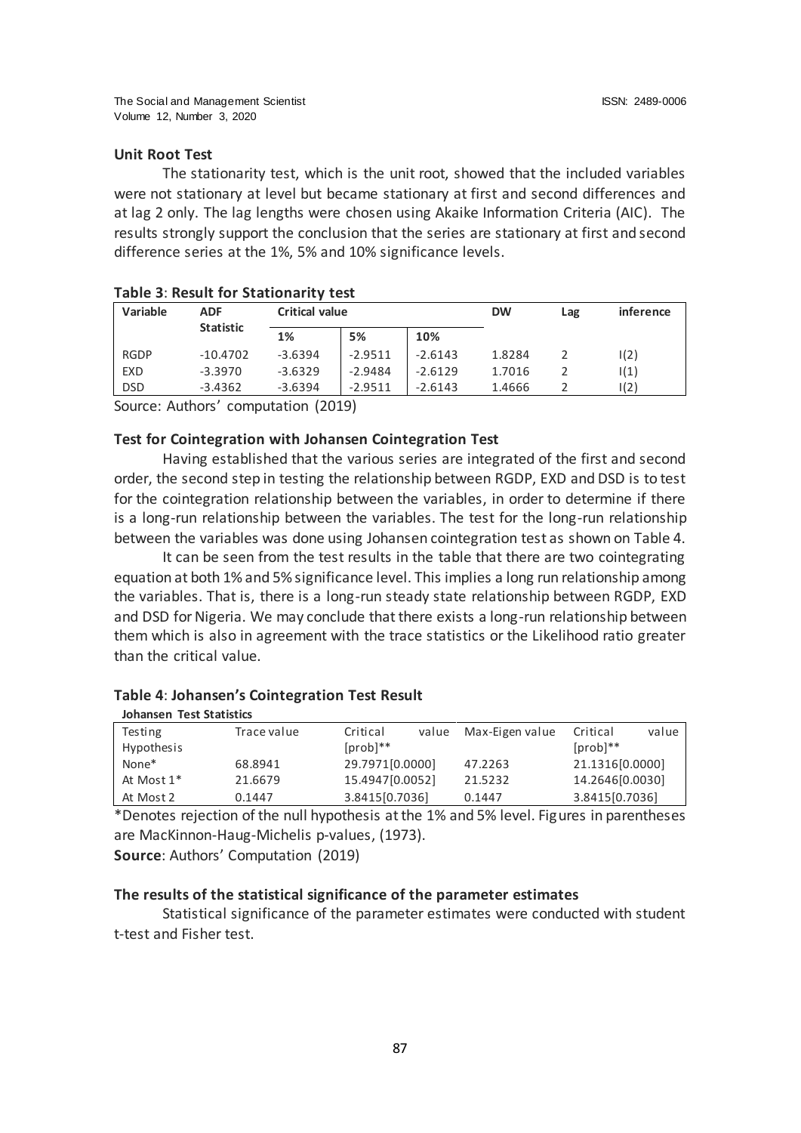# **Unit Root Test**

The stationarity test, which is the unit root, showed that the included variables were not stationary at level but became stationary at first and second differences and at lag 2 only. The lag lengths were chosen using Akaike Information Criteria (AIC). The results strongly support the conclusion that the series are stationary at first and second difference series at the 1%, 5% and 10% significance levels.

| Variable    | <b>ADF</b>       |           | <b>Critical value</b> |           |        | Lag | <i>inference</i> |
|-------------|------------------|-----------|-----------------------|-----------|--------|-----|------------------|
|             | <b>Statistic</b> | 1%        | 5%                    | 10%       |        |     |                  |
| <b>RGDP</b> | $-10.4702$       | $-3.6394$ | $-2.9511$             | $-2.6143$ | 1.8284 |     | I(2)             |
| <b>EXD</b>  | $-3.3970$        | $-3.6329$ | $-2.9484$             | $-2.6129$ | 1.7016 |     | 1(1)             |
| <b>DSD</b>  | $-3.4362$        | $-3.6394$ | $-2.9511$             | $-2.6143$ | 1.4666 |     | I(2)             |

| Table 3: Result for Stationarity test |  |
|---------------------------------------|--|
|---------------------------------------|--|

Source: Authors' computation (2019)

# **Test for Cointegration with Johansen Cointegration Test**

Having established that the various series are integrated of the first and second order, the second step in testing the relationship between RGDP, EXD and DSD is to test for the cointegration relationship between the variables, in order to determine if there is a long-run relationship between the variables. The test for the long-run relationship between the variables was done using Johansen cointegration test as shown on Table 4.

It can be seen from the test results in the table that there are two cointegrating equation at both 1% and 5% significance level. This implies a long run relationship among the variables. That is, there is a long-run steady state relationship between RGDP, EXD and DSD for Nigeria. We may conclude that there exists a long-run relationship between them which is also in agreement with the trace statistics or the Likelihood ratio greater than the critical value.

#### **Table 4**: **Johansen's Cointegration Test Result**

| <b>Johansen Test Statistics</b> |             |                   |                 |                   |
|---------------------------------|-------------|-------------------|-----------------|-------------------|
| Testing                         | Trace value | Critical<br>value | Max-Eigen value | value<br>Critical |
| Hypothesis                      |             | $[prob]$ **       |                 | $[prob]$ **       |
| None*                           | 68.8941     | 29.7971[0.0000]   | 47.2263         | 21.1316[0.0000]   |
| At Most 1*                      | 21.6679     | 15.4947[0.0052]   | 21.5232         | 14.2646[0.0030]   |
| At Most 2                       | 0.1447      | 3.8415[0.7036]    | 0.1447          | 3.8415[0.7036]    |
|                                 |             |                   |                 |                   |

\*Denotes rejection of the null hypothesis at the 1% and 5% level. Figures in parentheses are MacKinnon-Haug-Michelis p-values, (1973).

**Source**: Authors' Computation (2019)

# **The results of the statistical significance of the parameter estimates**

Statistical significance of the parameter estimates were conducted with student t-test and Fisher test.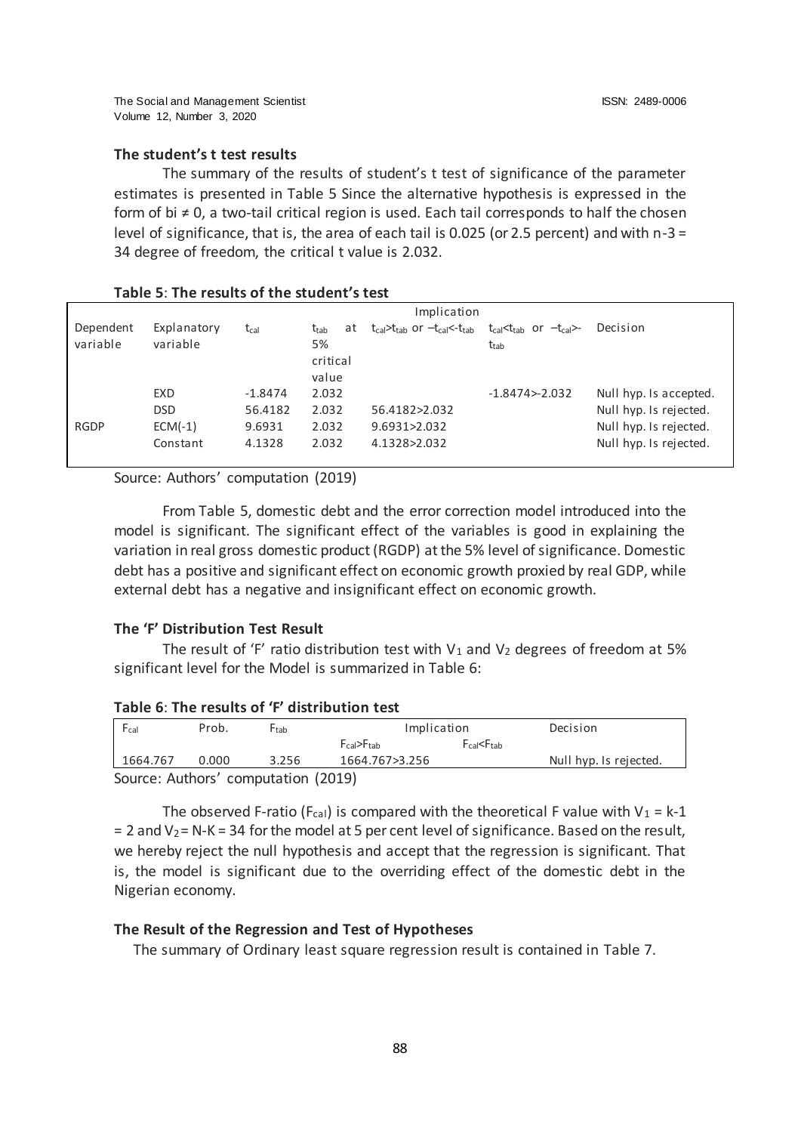# **The student's t test results**

The summary of the results of student's t test of significance of the parameter estimates is presented in Table 5 Since the alternative hypothesis is expressed in the form of bi ≠ 0, a two-tail critical region is used. Each tail corresponds to half the chosen level of significance, that is, the area of each tail is 0.025 (or 2.5 percent) and with  $n-3 =$ 34 degree of freedom, the critical t value is 2.032.

### **Table 5**: **The results of the student's test**

|                       |                         |                      |                                          | Implication                                               |                                                                            |                                                  |
|-----------------------|-------------------------|----------------------|------------------------------------------|-----------------------------------------------------------|----------------------------------------------------------------------------|--------------------------------------------------|
| Dependent<br>variable | Explanatory<br>variable | $t_{cal}$            | at<br>t <sub>tab</sub><br>5%<br>critical | $t_{cal}$ t <sub>tab</sub> or $-t_{cal}$ t <sub>tab</sub> | $t_{cal}$ t <sub>cal</sub> $\lt$ t <sub>cal</sub> $\gt$ -<br>$t_{\rm tab}$ | Decision                                         |
|                       |                         |                      | value                                    |                                                           |                                                                            |                                                  |
|                       | EXD<br><b>DSD</b>       | $-1.8474$<br>56.4182 | 2.032<br>2.032                           | 56.4182>2.032                                             | $-1.8474 - 2.032$                                                          | Null hyp. Is accepted.<br>Null hyp. Is rejected. |
| <b>RGDP</b>           | $ECM(-1)$<br>Constant   | 9.6931<br>4.1328     | 2.032<br>2.032                           | 9.6931>2.032<br>4.1328>2.032                              |                                                                            | Null hyp. Is rejected.<br>Null hyp. Is rejected. |

Source: Authors' computation (2019)

From Table 5, domestic debt and the error correction model introduced into the model is significant. The significant effect of the variables is good in explaining the variation in real gross domestic product (RGDP) at the 5% level of significance. Domestic debt has a positive and significant effect on economic growth proxied by real GDP, while external debt has a negative and insignificant effect on economic growth.

### **The 'F' Distribution Test Result**

The result of 'F' ratio distribution test with  $V_1$  and  $V_2$  degrees of freedom at 5% significant level for the Model is summarized in Table 6:

### **Table 6**: **The results of 'F' distribution test**

| $F_{cal}$                           | Prob. | <b>F</b> tab | Implication    |                                     | Decision               |
|-------------------------------------|-------|--------------|----------------|-------------------------------------|------------------------|
|                                     |       |              | FraI>Ftab      | FraI <ftab< td=""><td></td></ftab<> |                        |
| 1664.767                            | 0.000 | 3.256        | 1664.767>3.256 |                                     | Null hyp. Is rejected. |
| Source: Authors' computation (2019) |       |              |                |                                     |                        |

The observed F-ratio (F<sub>cal</sub>) is compared with the theoretical F value with  $V_1 = k-1$  $= 2$  and V<sub>2</sub> = N-K = 34 for the model at 5 per cent level of significance. Based on the result, we hereby reject the null hypothesis and accept that the regression is significant. That is, the model is significant due to the overriding effect of the domestic debt in the Nigerian economy.

### **The Result of the Regression and Test of Hypotheses**

The summary of Ordinary least square regression result is contained in Table 7.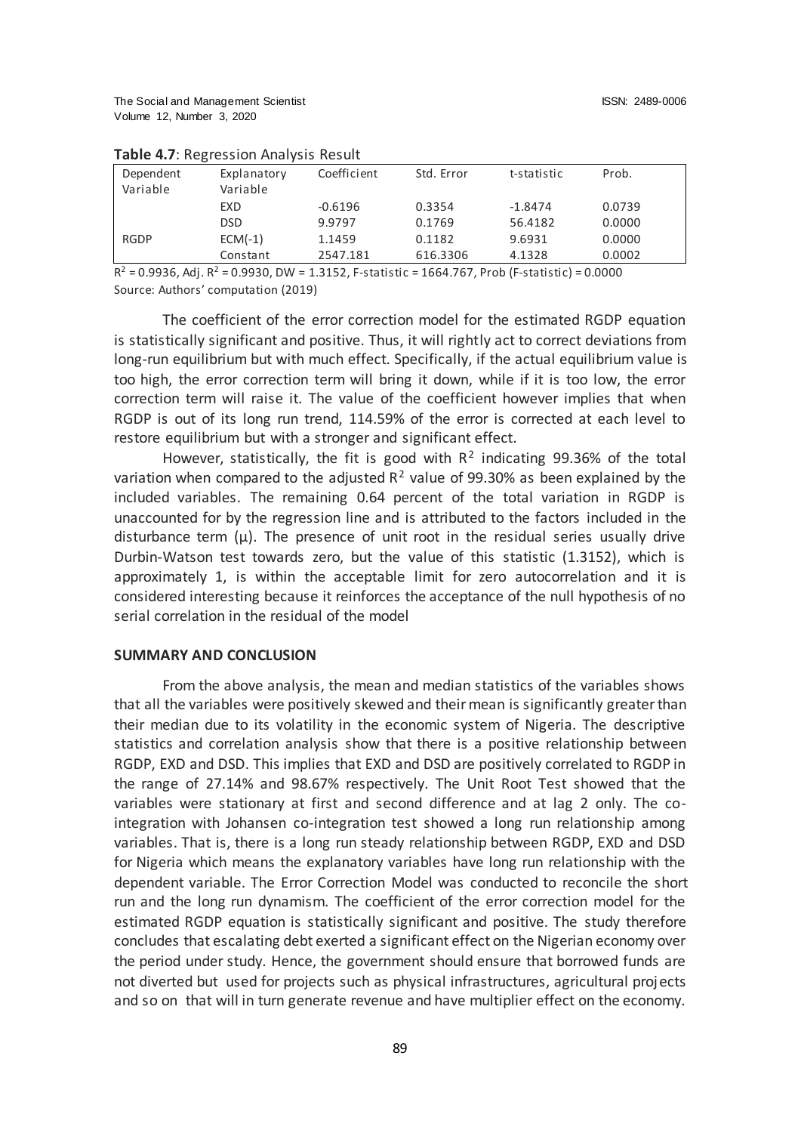| Dependent<br>Variable | Explanatory<br>Variable | Coefficient | Std. Error | t-statistic | Prob.  |
|-----------------------|-------------------------|-------------|------------|-------------|--------|
|                       | EXD                     | $-0.6196$   | 0.3354     | $-1.8474$   | 0.0739 |
|                       | <b>DSD</b>              | 9.9797      | 0.1769     | 56.4182     | 0.0000 |
| <b>RGDP</b>           | $ECM(-1)$               | 1.1459      | 0.1182     | 9.6931      | 0.0000 |
|                       | Constant                | 2547.181    | 616.3306   | 4.1328      | 0.0002 |

### **Table 4.7**: Regression Analysis Result

 $R^2$  = 0.9936, Adj.  $R^2$  = 0.9930, DW = 1.3152, F-statistic = 1664.767, Prob (F-statistic) = 0.0000 Source: Authors' computation (2019)

The coefficient of the error correction model for the estimated RGDP equation is statistically significant and positive. Thus, it will rightly act to correct deviations from long-run equilibrium but with much effect. Specifically, if the actual equilibrium value is too high, the error correction term will bring it down, while if it is too low, the error correction term will raise it. The value of the coefficient however implies that when RGDP is out of its long run trend, 114.59% of the error is corrected at each level to restore equilibrium but with a stronger and significant effect.

However, statistically, the fit is good with  $R^2$  indicating 99.36% of the total variation when compared to the adjusted  $R^2$  value of 99.30% as been explained by the included variables. The remaining 0.64 percent of the total variation in RGDP is unaccounted for by the regression line and is attributed to the factors included in the disturbance term  $(\mu)$ . The presence of unit root in the residual series usually drive Durbin-Watson test towards zero, but the value of this statistic (1.3152), which is approximately 1, is within the acceptable limit for zero autocorrelation and it is considered interesting because it reinforces the acceptance of the null hypothesis of no serial correlation in the residual of the model

# **SUMMARY AND CONCLUSION**

From the above analysis, the mean and median statistics of the variables shows that all the variables were positively skewed and their mean is significantly greater than their median due to its volatility in the economic system of Nigeria. The descriptive statistics and correlation analysis show that there is a positive relationship between RGDP, EXD and DSD. This implies that EXD and DSD are positively correlated to RGDP in the range of 27.14% and 98.67% respectively. The Unit Root Test showed that the variables were stationary at first and second difference and at lag 2 only. The cointegration with Johansen co-integration test showed a long run relationship among variables. That is, there is a long run steady relationship between RGDP, EXD and DSD for Nigeria which means the explanatory variables have long run relationship with the dependent variable. The Error Correction Model was conducted to reconcile the short run and the long run dynamism. The coefficient of the error correction model for the estimated RGDP equation is statistically significant and positive. The study therefore concludes that escalating debt exerted a significant effect on the Nigerian economy over the period under study. Hence, the government should ensure that borrowed funds are not diverted but used for projects such as physical infrastructures, agricultural projects and so on that will in turn generate revenue and have multiplier effect on the economy.